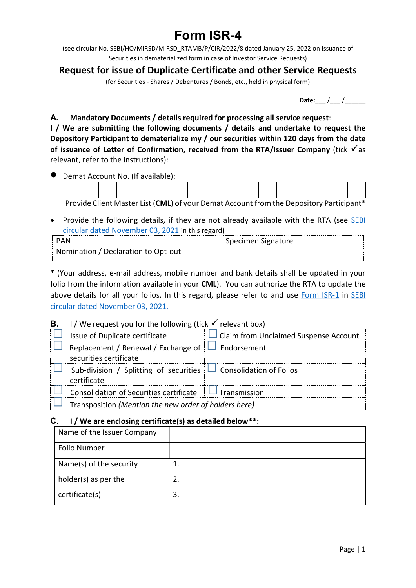# Form ISR-4

(see circular No. SEBI/HO/MIRSD/MIRSD\_RTAMB/P/CIR/2022/8 dated January 25, 2022 on Issuance of Securities in dematerialized form in case of Investor Service Requests)

# Request for issue of Duplicate Certificate and other Service Requests

(for Securities - Shares / Debentures / Bonds, etc., held in physical form)

Date:\_\_\_ /\_\_\_ /\_\_\_\_\_\_

#### A. Mandatory Documents / details required for processing all service request:

I / We are submitting the following documents / details and undertake to request the Depository Participant to dematerialize my / our securities within 120 days from the date of issuance of Letter of Confirmation, received from the RTA/Issuer Company (tick  $\sqrt{as}$ relevant, refer to the instructions):

|  | Demat Account No. (If available): |  |  |  |  |  |  |                                                                                         |  |
|--|-----------------------------------|--|--|--|--|--|--|-----------------------------------------------------------------------------------------|--|
|  |                                   |  |  |  |  |  |  |                                                                                         |  |
|  |                                   |  |  |  |  |  |  |                                                                                         |  |
|  |                                   |  |  |  |  |  |  | Provide Client Master List (CML) of your Demat Account from the Depository Participant* |  |

• Provide the following details, if they are not already available with the RTA (see SEBI circular dated November 03, 2021 in this regard)

|                                     | Specimen Signature |
|-------------------------------------|--------------------|
| Nomination / Declaration to Opt-out |                    |

\* (Your address, e-mail address, mobile number and bank details shall be updated in your **A.** Mandatory Documents / details required for processing all service request:<br>
I / We are submitting the following documents / details and undertake to request the<br>
Depository Participant to dematerialize my / our secur above details for all your folios. In this regard, please refer to and use Form ISR-1 in SEBI circular dated November 03, 2021.

# **B.** I / We request you for the following (tick  $\checkmark$  relevant box)

| Issue of Duplicate certificate                                                       | Claim from Unclaimed Suspense Account |
|--------------------------------------------------------------------------------------|---------------------------------------|
| Replacement / Renewal / Exchange of<br>securities certificate                        | Endorsement                           |
| Sub-division / Splitting of securities $\Box$ Consolidation of Folios<br>certificate |                                       |
| Consolidation of Securities certificate                                              | Transmission                          |
| Transposition (Mention the new order of holders here)                                |                                       |

#### C. I / We are enclosing certificate(s) as detailed below \*\*:

| Name of the Issuer Company |    |
|----------------------------|----|
| <b>Folio Number</b>        |    |
| Name(s) of the security    | 1. |
| holder(s) as per the       | 2. |
| certificate(s)             | 3. |